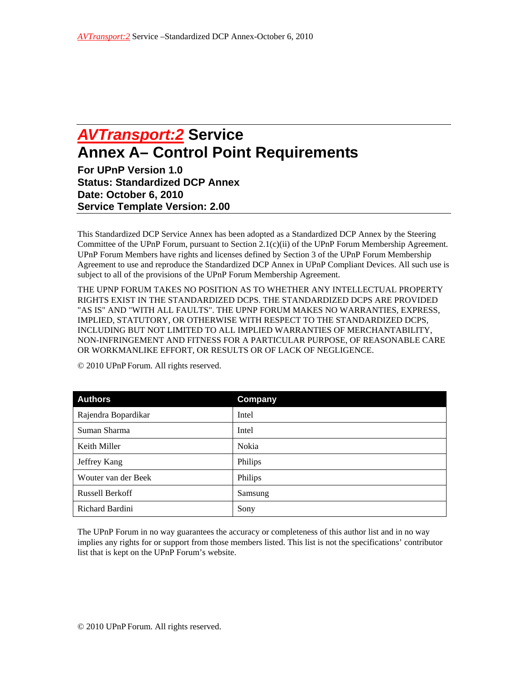## *AVTransport:2* **Service Annex A– Control Point Requirements**

**For UPnP Version 1.0 Status: Standardized DCP Annex Date: October 6, 2010 Service Template Version: 2.00** 

This Standardized DCP Service Annex has been adopted as a Standardized DCP Annex by the Steering Committee of the UPnP Forum, pursuant to Section 2.1(c)(ii) of the UPnP Forum Membership Agreement. UPnP Forum Members have rights and licenses defined by Section 3 of the UPnP Forum Membership Agreement to use and reproduce the Standardized DCP Annex in UPnP Compliant Devices. All such use is subject to all of the provisions of the UPnP Forum Membership Agreement.

THE UPNP FORUM TAKES NO POSITION AS TO WHETHER ANY INTELLECTUAL PROPERTY RIGHTS EXIST IN THE STANDARDIZED DCPS. THE STANDARDIZED DCPS ARE PROVIDED "AS IS" AND "WITH ALL FAULTS". THE UPNP FORUM MAKES NO WARRANTIES, EXPRESS, IMPLIED, STATUTORY, OR OTHERWISE WITH RESPECT TO THE STANDARDIZED DCPS, INCLUDING BUT NOT LIMITED TO ALL IMPLIED WARRANTIES OF MERCHANTABILITY, NON-INFRINGEMENT AND FITNESS FOR A PARTICULAR PURPOSE, OF REASONABLE CARE OR WORKMANLIKE EFFORT, OR RESULTS OR OF LACK OF NEGLIGENCE.

| <b>Authors</b>         | Company |
|------------------------|---------|
| Rajendra Bopardikar    | Intel   |
| Suman Sharma           | Intel   |
| Keith Miller           | Nokia   |
| Jeffrey Kang           | Philips |
| Wouter van der Beek    | Philips |
| <b>Russell Berkoff</b> | Samsung |
| Richard Bardini        | Sony    |

© 2010 UPnP Forum. All rights reserved.

The UPnP Forum in no way guarantees the accuracy or completeness of this author list and in no way implies any rights for or support from those members listed. This list is not the specifications' contributor list that is kept on the UPnP Forum's website.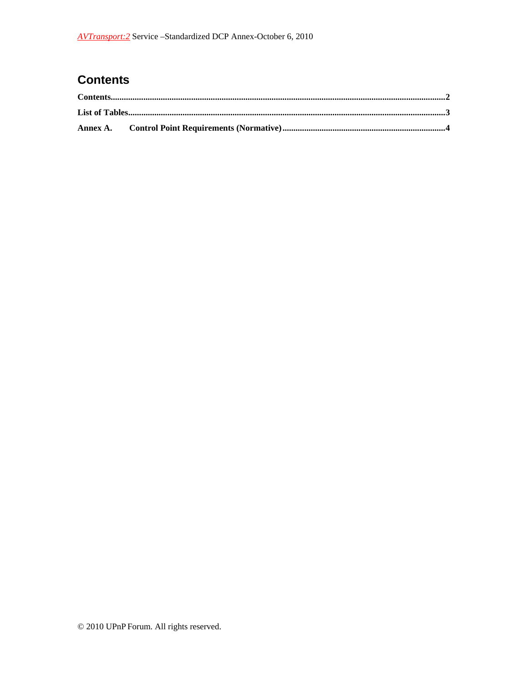## **Contents**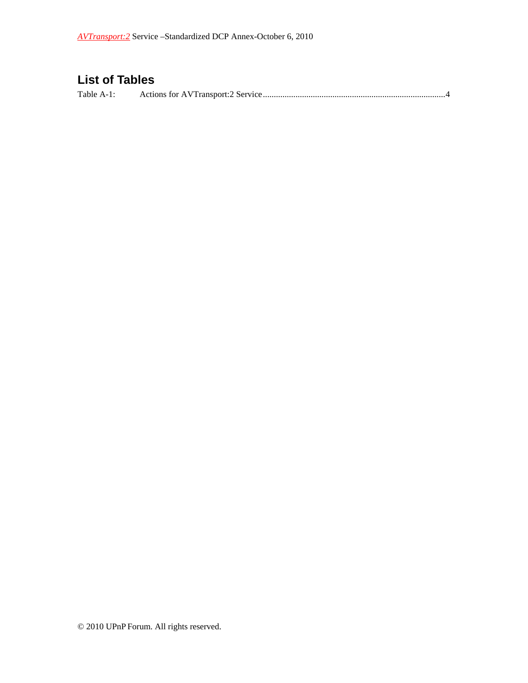## **List of Tables**

Table A-1: Actions for AVTransport:2 Service .................................................................................... 4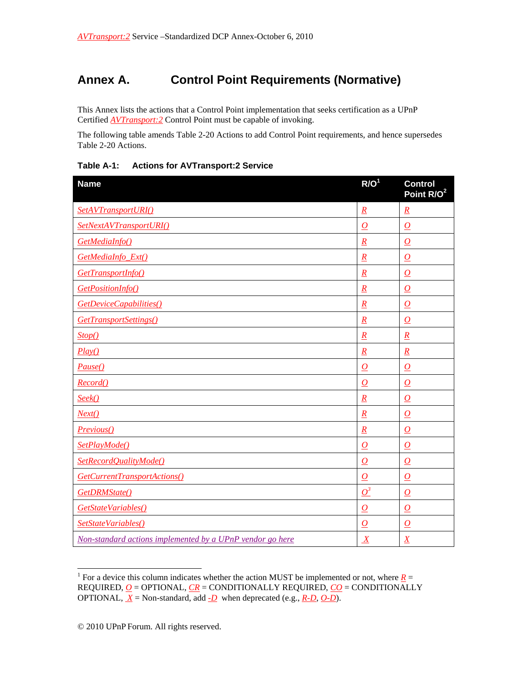## **Annex A. Control Point Requirements (Normative)**

This Annex lists the actions that a Control Point implementation that seeks certification as a UPnP Certified *AVTransport:2* Control Point must be capable of invoking.

The following table amends Table 2-20 Actions to add Control Point requirements, and hence supersedes Table 2-20 Actions.

| <b>Name</b>                                               | R/O <sup>1</sup>    | <b>Control</b><br>Point R/O <sup>2</sup> |
|-----------------------------------------------------------|---------------------|------------------------------------------|
| SetAVTransportURI()                                       | $\mathbf{R}$        | $\underline{R}$                          |
| SetNextAVTransportURI()                                   | $\overline{\Omega}$ | $\overline{\Omega}$                      |
| GetMediaInfo()                                            | $\overline{R}$      | $\overline{\Omega}$                      |
| GetMediaInfo_Ext()                                        | $\underline{R}$     | $\overline{\Omega}$                      |
| GetTransportInfo()                                        | $\overline{R}$      | $\overline{\Omega}$                      |
| GetPositionInfo()                                         | $\underline{R}$     | $\overline{\Omega}$                      |
| GetDeviceCapabilities()                                   | $\overline{R}$      | $\overline{\Omega}$                      |
| GetTransportSettings()                                    | $\underline{R}$     | $\overline{\Omega}$                      |
| Stop()                                                    | $\overline{R}$      | $\overline{R}$                           |
| Play()                                                    | $\boldsymbol{R}$    | $\underline{R}$                          |
| Pause()                                                   | $\overline{O}$      | $\overline{O}$                           |
| Record()                                                  | $\boldsymbol{O}$    | $\boldsymbol{o}$                         |
| Seek()                                                    | $\overline{R}$      | $\boldsymbol{O}$                         |
| Next()                                                    | $\underline{R}$     | $\overline{\Omega}$                      |
| Previous()                                                | $\overline{R}$      | $\overline{\Omega}$                      |
| SetPlayMode()                                             | $\overline{\Omega}$ | $\overline{\Omega}$                      |
| SetRecordQualityMode()                                    | $\boldsymbol{O}$    | $\overline{O}$                           |
| GetCurrentTransportActions()                              | $\boldsymbol{O}$    | $\boldsymbol{o}$                         |
| GetDRMState()                                             | $\mathcal{Q}^3$     | $\overline{\Omega}$                      |
| GetStateVariables()                                       | $\boldsymbol{o}$    | $\boldsymbol{o}$                         |
| SetStateVariables()                                       | $\overline{O}$      | $\overline{\Omega}$                      |
| Non-standard actions implemented by a UPnP vendor go here | $\overline{X}$      | $\underline{X}$                          |

**Table A-1: Actions for AVTransport:2 Service** 

 $\overline{a}$ 

<sup>&</sup>lt;sup>1</sup> For a device this column indicates whether the action MUST be implemented or not, where  $\underline{R}$  = REQUIRED, *O* = OPTIONAL, *CR* = CONDITIONALLY REQUIRED, *CO* = CONDITIONALLY OPTIONAL,  $\underline{X}$  = Non-standard, add  $\underline{D}$  when deprecated (e.g.,  $\underline{R-D}$ ,  $\underline{O-D}$ ).